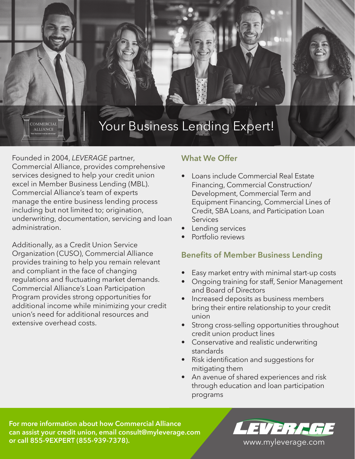# Your Business Lending Expert!

Founded in 2004, *LEVERAGE* partner, Commercial Alliance, provides comprehensive services designed to help your credit union excel in Member Business Lending (MBL). Commercial Alliance's team of experts manage the entire business lending process including but not limited to; origination, underwriting, documentation, servicing and loan administration.

**COMMERCIAL ALLIANCE** 

Additionally, as a Credit Union Service Organization (CUSO), Commercial Alliance provides training to help you remain relevant and compliant in the face of changing regulations and fluctuating market demands. Commercial Alliance's Loan Participation Program provides strong opportunities for additional income while minimizing your credit union's need for additional resources and extensive overhead costs.

# **What We Offer**

- Loans include Commercial Real Estate Financing, Commercial Construction/ Development, Commercial Term and Equipment Financing, Commercial Lines of Credit, SBA Loans, and Participation Loan Services
- **Lending services**
- Portfolio reviews

# **Benefits of Member Business Lending**

- Easy market entry with minimal start-up costs
- Ongoing training for staff, Senior Management and Board of Directors
- Increased deposits as business members bring their entire relationship to your credit union
- Strong cross-selling opportunities throughout credit union product lines
- Conservative and realistic underwriting standards
- Risk identification and suggestions for mitigating them
- An avenue of shared experiences and risk through education and loan participation programs

**For more information about how Commercial Alliance can assist your credit union, email consult@myleverage.com or call 855-9EXPERT (855-939-7378).** *Your Advantage www.myleverage.com*